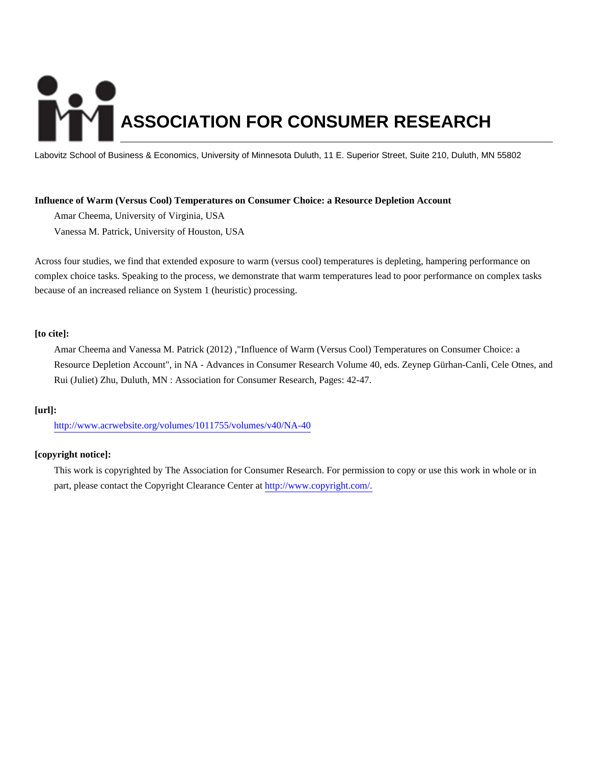# **ASSOCIATION FOR CONSUMER RESEARCH**

Labovitz School of Business & Economics, University of Minnesota Duluth, 11 E. Superior Street, Suite 210, Duluth, MN 55802

## **Influence of Warm (Versus Cool) Temperatures on Consumer Choice: a Resource Depletion Account**

Amar Cheema, University of Virginia, USA Vanessa M. Patrick, University of Houston, USA

Across four studies, we find that extended exposure to warm (versus cool) temperatures is depleting, hampering performance on complex choice tasks. Speaking to the process, we demonstrate that warm temperatures lead to poor performance on complex tasks because of an increased reliance on System 1 (heuristic) processing.

## **[to cite]:**

Amar Cheema and Vanessa M. Patrick (2012) ,"Influence of Warm (Versus Cool) Temperatures on Consumer Choice: a Resource Depletion Account", in NA - Advances in Consumer Research Volume 40, eds. Zeynep Gürhan-Canli, Cele Otnes, and Rui (Juliet) Zhu, Duluth, MN : Association for Consumer Research, Pages: 42-47.

## **[url]:**

<http://www.acrwebsite.org/volumes/1011755/volumes/v40/NA-40>

# **[copyright notice]:**

This work is copyrighted by The Association for Consumer Research. For permission to copy or use this work in whole or in part, please contact the Copyright Clearance Center at [http://www.copyright.com/.](http://www.copyright.com/)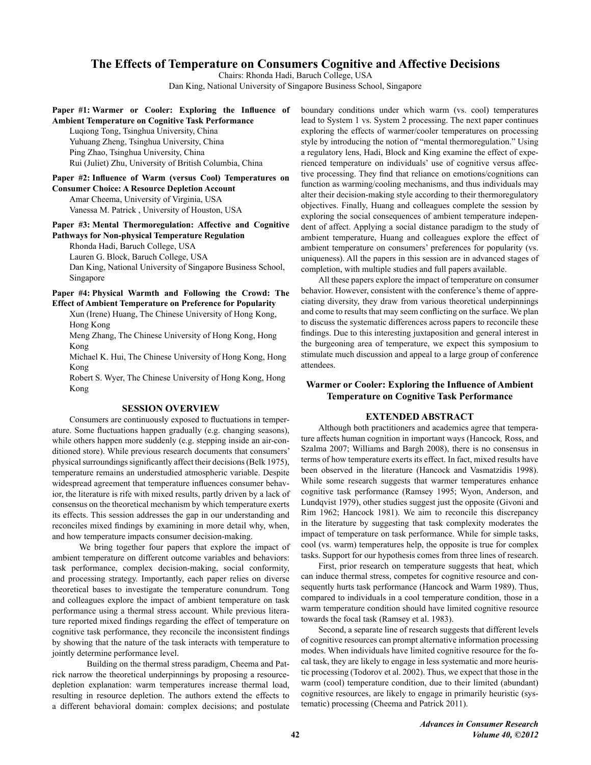# The Effects of Temperature on Consumers Cognitive and Affective Decisions

Chairs: Rhonda Hadi, Baruch College, USA

Dan King, National University of Singapore Business School, Singapore

## Paper #1: Warmer or Cooler: Exploring the Influence of **Ambient Temperature on Cognitive Task Performance**

Luqiong Tong, Tsinghua University, China Yuhuang Zheng, Tsinghua University, China Ping Zhao, Tsinghua University, China Rui (Juliet) Zhu, University of British Columbia, China

Paper #2: Influence of Warm (versus Cool) Temperatures on **Consumer Choice: A Resource Depletion Account** Amar Cheema, University of Virginia, USA

Vanessa M. Patrick, University of Houston, USA

# Paper #3: Mental Thermoregulation: Affective and Cognitive **Pathways for Non-physical Temperature Regulation**

Rhonda Hadi, Baruch College, USA Lauren G. Block, Baruch College, USA Dan King, National University of Singapore Business School, Singapore

## Paper #4: Physical Warmth and Following the Crowd: The **Effect of Ambient Temperature on Preference for Popularity**

Xun (Irene) Huang, The Chinese University of Hong Kong, Hong Kong

Meng Zhang, The Chinese University of Hong Kong, Hong Kong

Michael K. Hui, The Chinese University of Hong Kong, Hong Kong

Robert S. Wyer, The Chinese University of Hong Kong, Hong Kong

## **SESSION OVERVIEW**

Consumers are continuously exposed to fluctuations in temperature. Some fluctuations happen gradually (e.g. changing seasons), while others happen more suddenly (e.g. stepping inside an air-conditioned store). While previous research documents that consumers' physical surroundings significantly affect their decisions (Belk 1975), temperature remains an understudied atmospheric variable. Despite widespread agreement that temperature influences consumer behavior, the literature is rife with mixed results, partly driven by a lack of consensus on the theoretical mechanism by which temperature exerts its effects. This session addresses the gap in our understanding and reconciles mixed findings by examining in more detail why, when, and how temperature impacts consumer decision-making.

We bring together four papers that explore the impact of ambient temperature on different outcome variables and behaviors: task performance, complex decision-making, social conformity, and processing strategy. Importantly, each paper relies on diverse theoretical bases to investigate the temperature conundrum. Tong and colleagues explore the impact of ambient temperature on task performance using a thermal stress account. While previous literature reported mixed findings regarding the effect of temperature on cognitive task performance, they reconcile the inconsistent findings by showing that the nature of the task interacts with temperature to jointly determine performance level.

Building on the thermal stress paradigm, Cheema and Patrick narrow the theoretical underpinnings by proposing a resourcedepletion explanation: warm temperatures increase thermal load, resulting in resource depletion. The authors extend the effects to a different behavioral domain: complex decisions; and postulate boundary conditions under which warm (vs. cool) temperatures lead to System 1 vs. System 2 processing. The next paper continues exploring the effects of warmer/cooler temperatures on processing style by introducing the notion of "mental thermoregulation." Using a regulatory lens, Hadi, Block and King examine the effect of experienced temperature on individuals' use of cognitive versus affective processing. They find that reliance on emotions/cognitions can function as warming/cooling mechanisms, and thus individuals may alter their decision-making style according to their thermoregulatory objectives. Finally, Huang and colleagues complete the session by exploring the social consequences of ambient temperature independent of affect. Applying a social distance paradigm to the study of ambient temperature, Huang and colleagues explore the effect of ambient temperature on consumers' preferences for popularity (vs. uniqueness). All the papers in this session are in advanced stages of completion, with multiple studies and full papers available.

All these papers explore the impact of temperature on consumer behavior. However, consistent with the conference's theme of appreciating diversity, they draw from various theoretical underpinnings and come to results that may seem conflicting on the surface. We plan to discuss the systematic differences across papers to reconcile these findings. Due to this interesting juxtaposition and general interest in the burgeoning area of temperature, we expect this symposium to stimulate much discussion and appeal to a large group of conference attendees.

# Warmer or Cooler: Exploring the Influence of Ambient **Temperature on Cognitive Task Performance**

## **EXTENDED ABSTRACT**

Although both practitioners and academics agree that temperature affects human cognition in important ways (Hancock, Ross, and Szalma 2007; Williams and Bargh 2008), there is no consensus in terms of how temperature exerts its effect. In fact, mixed results have been observed in the literature (Hancock and Vasmatzidis 1998). While some research suggests that warmer temperatures enhance cognitive task performance (Ramsey 1995; Wyon, Anderson, and Lundqvist 1979), other studies suggest just the opposite (Givoni and Rim 1962; Hancock 1981). We aim to reconcile this discrepancy in the literature by suggesting that task complexity moderates the impact of temperature on task performance. While for simple tasks, cool (vs. warm) temperatures help, the opposite is true for complex tasks. Support for our hypothesis comes from three lines of research.

First, prior research on temperature suggests that heat, which can induce thermal stress, competes for cognitive resource and consequently hurts task performance (Hancock and Warm 1989). Thus, compared to individuals in a cool temperature condition, those in a warm temperature condition should have limited cognitive resource towards the focal task (Ramsey et al. 1983).

Second, a separate line of research suggests that different levels of cognitive resources can prompt alternative information processing modes. When individuals have limited cognitive resource for the focal task, they are likely to engage in less systematic and more heuristic processing (Todorov et al. 2002). Thus, we expect that those in the warm (cool) temperature condition, due to their limited (abundant) cognitive resources, are likely to engage in primarily heuristic (systematic) processing (Cheema and Patrick 2011).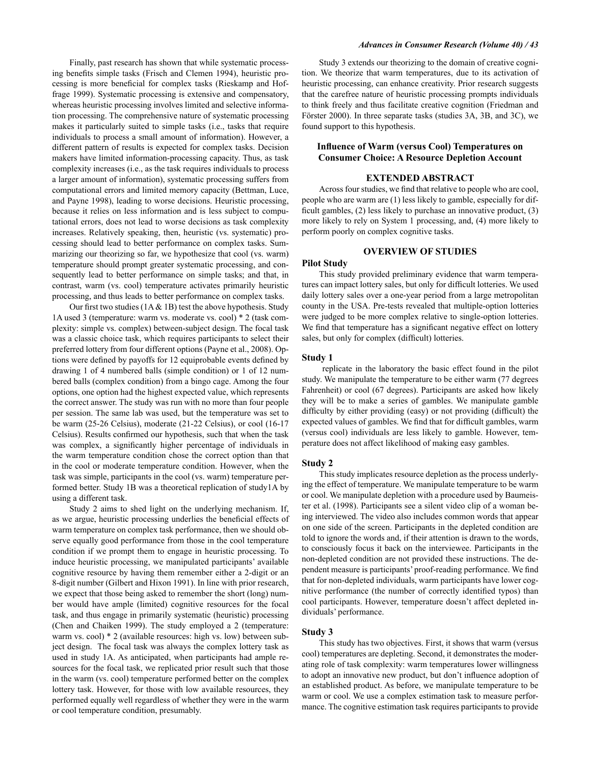Finally, past research has shown that while systematic processing benefits simple tasks (Frisch and Clemen 1994), heuristic processing is more beneficial for complex tasks (Rieskamp and Hoffrage 1999). Systematic processing is extensive and compensatory, whereas heuristic processing involves limited and selective information processing. The comprehensive nature of systematic processing makes it particularly suited to simple tasks (i.e., tasks that require individuals to process a small amount of information). However, a different pattern of results is expected for complex tasks. Decision makers have limited information-processing capacity. Thus, as task complexity increases (i.e., as the task requires individuals to process a larger amount of information), systematic processing suffers from computational errors and limited memory capacity (Bettman, Luce, and Payne 1998), leading to worse decisions. Heuristic processing, because it relies on less information and is less subject to computational errors, does not lead to worse decisions as task complexity increases. Relatively speaking, then, heuristic (vs. systematic) processing should lead to better performance on complex tasks. Summarizing our theorizing so far, we hypothesize that cool (vs. warm) temperature should prompt greater systematic processing, and consequently lead to better performance on simple tasks; and that, in contrast, warm (vs. cool) temperature activates primarily heuristic processing, and thus leads to better performance on complex tasks.

Our first two studies  $(1A & 1B)$  test the above hypothesis. Study 1A used 3 (temperature: warm vs. moderate vs. cool) \* 2 (task complexity: simple vs. complex) between-subject design. The focal task was a classic choice task, which requires participants to select their preferred lottery from four different options (Payne et al., 2008). Options were defined by payoffs for 12 equiprobable events defined by drawing 1 of 4 numbered balls (simple condition) or 1 of 12 numbered balls (complex condition) from a bingo cage. Among the four options, one option had the highest expected value, which represents the correct answer. The study was run with no more than four people per session. The same lab was used, but the temperature was set to be warm (25-26 Celsius), moderate (21-22 Celsius), or cool (16-17 Celsius). Results confirmed our hypothesis, such that when the task was complex, a significantly higher percentage of individuals in the warm temperature condition chose the correct option than that in the cool or moderate temperature condition. However, when the task was simple, participants in the cool (vs. warm) temperature performed better. Study 1B was a theoretical replication of study1A by using a different task.

Study 2 aims to shed light on the underlying mechanism. If, as we argue, heuristic processing underlies the beneficial effects of warm temperature on complex task performance, then we should observe equally good performance from those in the cool temperature condition if we prompt them to engage in heuristic processing. To induce heuristic processing, we manipulated participants' available cognitive resource by having them remember either a 2-digit or an 8-digit number (Gilbert and Hixon 1991). In line with prior research, we expect that those being asked to remember the short (long) number would have ample (limited) cognitive resources for the focal task, and thus engage in primarily systematic (heuristic) processing (Chen and Chaiken 1999). The study employed a 2 (temperature: warm vs. cool) \* 2 (available resources: high vs. low) between subject design. The focal task was always the complex lottery task as used in study 1A. As anticipated, when participants had ample resources for the focal task, we replicated prior result such that those in the warm (vs. cool) temperature performed better on the complex lottery task. However, for those with low available resources, they performed equally well regardless of whether they were in the warm or cool temperature condition, presumably.

#### **Advances in Consumer Research (Volume 40) / 43**

Study 3 extends our theorizing to the domain of creative cognition. We theorize that warm temperatures, due to its activation of heuristic processing, can enhance creativity. Prior research suggests that the carefree nature of heuristic processing prompts individuals to think freely and thus facilitate creative cognition (Friedman and Förster 2000). In three separate tasks (studies 3A, 3B, and 3C), we found support to this hypothesis.

## **Influence of Warm (versus Cool) Temperatures on Consumer Choice: A Resource Depletion Account**

## **EXTENDED ABSTRACT**

Across four studies, we find that relative to people who are cool, people who are warm are (1) less likely to gamble, especially for difficult gambles,  $(2)$  less likely to purchase an innovative product,  $(3)$ more likely to rely on System 1 processing, and, (4) more likely to perform poorly on complex cognitive tasks.

## **OVERVIEW OF STUDIES**

#### **Pilot Study**

This study provided preliminary evidence that warm temperatures can impact lottery sales, but only for difficult lotteries. We used daily lottery sales over a one-year period from a large metropolitan county in the USA. Pre-tests revealed that multiple-option lotteries were judged to be more complex relative to single-option lotteries. We find that temperature has a significant negative effect on lottery sales, but only for complex (difficult) lotteries.

#### Study 1

replicate in the laboratory the basic effect found in the pilot study. We manipulate the temperature to be either warm (77 degrees Fahrenheit) or cool (67 degrees). Participants are asked how likely they will be to make a series of gambles. We manipulate gamble difficulty by either providing (easy) or not providing (difficult) the expected values of gambles. We find that for difficult gambles, warm (versus cool) individuals are less likely to gamble. However, temperature does not affect likelihood of making easy gambles.

#### Study 2

This study implicates resource depletion as the process underlying the effect of temperature. We manipulate temperature to be warm or cool. We manipulate depletion with a procedure used by Baumeister et al. (1998). Participants see a silent video clip of a woman being interviewed. The video also includes common words that appear on one side of the screen. Participants in the depleted condition are told to ignore the words and, if their attention is drawn to the words, to consciously focus it back on the interviewee. Participants in the non-depleted condition are not provided these instructions. The dependent measure is participants' proof-reading performance. We find that for non-depleted individuals, warm participants have lower cognitive performance (the number of correctly identified typos) than cool participants. However, temperature doesn't affect depleted individuals' performance.

## Study 3

This study has two objectives. First, it shows that warm (versus cool) temperatures are depleting. Second, it demonstrates the moderating role of task complexity: warm temperatures lower willingness to adopt an innovative new product, but don't influence adoption of an established product. As before, we manipulate temperature to be warm or cool. We use a complex estimation task to measure performance. The cognitive estimation task requires participants to provide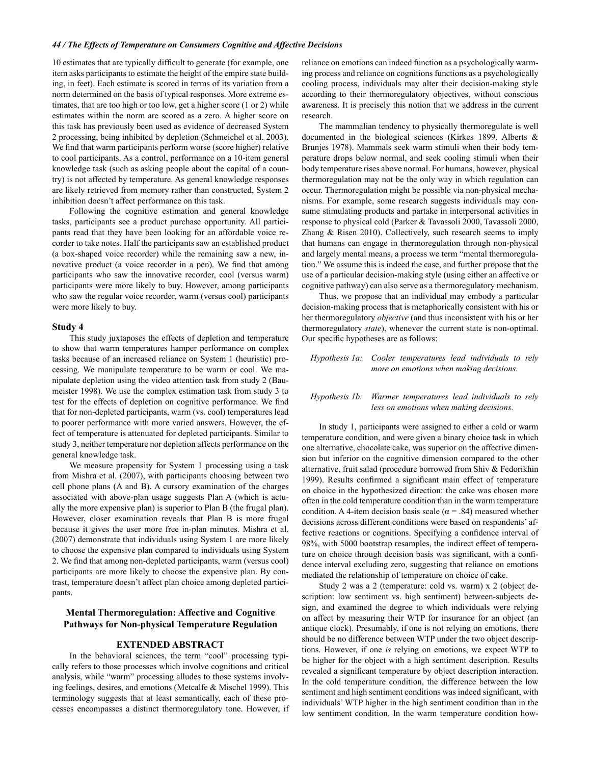#### 44 / The Effects of Temperature on Consumers Cognitive and Affective Decisions

10 estimates that are typically difficult to generate (for example, one item asks participants to estimate the height of the empire state building, in feet). Each estimate is scored in terms of its variation from a norm determined on the basis of typical responses. More extreme estimates, that are too high or too low, get a higher score (1 or 2) while estimates within the norm are scored as a zero. A higher score on this task has previously been used as evidence of decreased System 2 processing, being inhibited by depletion (Schmeichel et al. 2003). We find that warm participants perform worse (score higher) relative to cool participants. As a control, performance on a 10-item general knowledge task (such as asking people about the capital of a country) is not affected by temperature. As general knowledge responses are likely retrieved from memory rather than constructed, System 2 inhibition doesn't affect performance on this task.

Following the cognitive estimation and general knowledge tasks, participants see a product purchase opportunity. All participants read that they have been looking for an affordable voice recorder to take notes. Half the participants saw an established product (a box-shaped voice recorder) while the remaining saw a new, innovative product (a voice recorder in a pen). We find that among participants who saw the innovative recorder, cool (versus warm) participants were more likely to buy. However, among participants who saw the regular voice recorder, warm (versus cool) participants were more likely to buy.

#### Study 4

This study juxtaposes the effects of depletion and temperature to show that warm temperatures hamper performance on complex tasks because of an increased reliance on System 1 (heuristic) processing. We manipulate temperature to be warm or cool. We manipulate depletion using the video attention task from study 2 (Baumeister 1998). We use the complex estimation task from study 3 to test for the effects of depletion on cognitive performance. We find that for non-depleted participants, warm (vs. cool) temperatures lead to poorer performance with more varied answers. However, the effect of temperature is attenuated for depleted participants. Similar to study 3, neither temperature nor depletion affects performance on the general knowledge task.

We measure propensity for System 1 processing using a task from Mishra et al. (2007), with participants choosing between two cell phone plans (A and B). A cursory examination of the charges associated with above-plan usage suggests Plan A (which is actually the more expensive plan) is superior to Plan B (the frugal plan). However, closer examination reveals that Plan B is more frugal because it gives the user more free in-plan minutes. Mishra et al. (2007) demonstrate that individuals using System 1 are more likely to choose the expensive plan compared to individuals using System 2. We find that among non-depleted participants, warm (versus cool) participants are more likely to choose the expensive plan. By contrast, temperature doesn't affect plan choice among depleted participants.

## **Mental Thermoregulation: Affective and Cognitive Pathways for Non-physical Temperature Regulation**

#### **EXTENDED ABSTRACT**

In the behavioral sciences, the term "cool" processing typically refers to those processes which involve cognitions and critical analysis, while "warm" processing alludes to those systems involving feelings, desires, and emotions (Metcalfe & Mischel 1999). This terminology suggests that at least semantically, each of these processes encompasses a distinct thermoregulatory tone. However, if reliance on emotions can indeed function as a psychologically warming process and reliance on cognitions functions as a psychologically cooling process, individuals may alter their decision-making style according to their thermoregulatory objectives, without conscious awareness. It is precisely this notion that we address in the current research.

The mammalian tendency to physically thermoregulate is well documented in the biological sciences (Kirkes 1899, Alberts & Brunjes 1978). Mammals seek warm stimuli when their body temperature drops below normal, and seek cooling stimuli when their body temperature rises above normal. For humans, however, physical thermoregulation may not be the only way in which regulation can occur. Thermoregulation might be possible via non-physical mechanisms. For example, some research suggests individuals may consume stimulating products and partake in interpersonal activities in response to physical cold (Parker & Tavassoli 2000, Tavassoli 2000, Zhang & Risen 2010). Collectively, such research seems to imply that humans can engage in thermoregulation through non-physical and largely mental means, a process we term "mental thermoregulation." We assume this is indeed the case, and further propose that the use of a particular decision-making style (using either an affective or cognitive pathway) can also serve as a thermoregulatory mechanism.

Thus, we propose that an individual may embody a particular decision-making process that is metaphorically consistent with his or her thermoregulatory *objective* (and thus inconsistent with his or her thermoregulatory state), whenever the current state is non-optimal. Our specific hypotheses are as follows:

Hypothesis 1a: Cooler temperatures lead individuals to rely more on emotions when making decisions.

#### Warmer temperatures lead individuals to rely Hypothesis 1b: less on emotions when making decisions.

In study 1, participants were assigned to either a cold or warm temperature condition, and were given a binary choice task in which one alternative, chocolate cake, was superior on the affective dimension but inferior on the cognitive dimension compared to the other alternative, fruit salad (procedure borrowed from Shiv & Fedorikhin 1999). Results confirmed a significant main effect of temperature on choice in the hypothesized direction: the cake was chosen more often in the cold temperature condition than in the warm temperature condition. A 4-item decision basis scale ( $\alpha$  = .84) measured whether decisions across different conditions were based on respondents' affective reactions or cognitions. Specifying a confidence interval of 98%, with 5000 bootstrap resamples, the indirect effect of temperature on choice through decision basis was significant, with a confidence interval excluding zero, suggesting that reliance on emotions mediated the relationship of temperature on choice of cake.

Study 2 was a 2 (temperature: cold vs. warm) x 2 (object description: low sentiment vs. high sentiment) between-subjects design, and examined the degree to which individuals were relying on affect by measuring their WTP for insurance for an object (an antique clock). Presumably, if one is not relying on emotions, there should be no difference between WTP under the two object descriptions. However, if one is relying on emotions, we expect WTP to be higher for the object with a high sentiment description. Results revealed a significant temperature by object description interaction. In the cold temperature condition, the difference between the low sentiment and high sentiment conditions was indeed significant, with individuals' WTP higher in the high sentiment condition than in the low sentiment condition. In the warm temperature condition how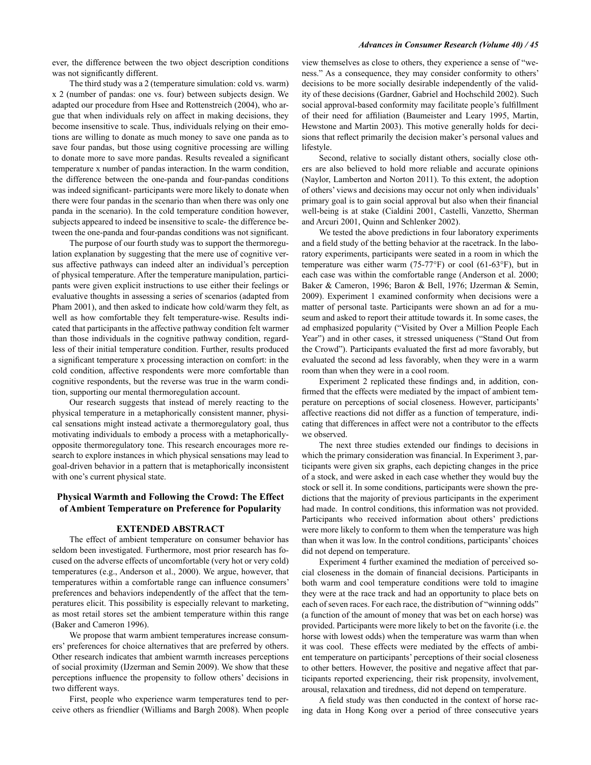ever, the difference between the two object description conditions was not significantly different.

The third study was a 2 (temperature simulation: cold vs. warm) x 2 (number of pandas: one vs. four) between subjects design. We adapted our procedure from Hsee and Rottenstreich (2004), who argue that when individuals rely on affect in making decisions, they become insensitive to scale. Thus, individuals relying on their emotions are willing to donate as much money to save one panda as to save four pandas, but those using cognitive processing are willing to donate more to save more pandas. Results revealed a significant temperature x number of pandas interaction. In the warm condition, the difference between the one-panda and four-pandas conditions was indeed significant- participants were more likely to donate when there were four pandas in the scenario than when there was only one panda in the scenario). In the cold temperature condition however, subjects appeared to indeed be insensitive to scale- the difference between the one-panda and four-pandas conditions was not significant.

The purpose of our fourth study was to support the thermoregulation explanation by suggesting that the mere use of cognitive versus affective pathways can indeed alter an individual's perception of physical temperature. After the temperature manipulation, participants were given explicit instructions to use either their feelings or evaluative thoughts in assessing a series of scenarios (adapted from Pham 2001), and then asked to indicate how cold/warm they felt, as well as how comfortable they felt temperature-wise. Results indicated that participants in the affective pathway condition felt warmer than those individuals in the cognitive pathway condition, regardless of their initial temperature condition. Further, results produced a significant temperature x processing interaction on comfort: in the cold condition, affective respondents were more comfortable than cognitive respondents, but the reverse was true in the warm condition, supporting our mental thermoregulation account.

Our research suggests that instead of merely reacting to the physical temperature in a metaphorically consistent manner, physical sensations might instead activate a thermoregulatory goal, thus motivating individuals to embody a process with a metaphoricallyopposite thermoregulatory tone. This research encourages more research to explore instances in which physical sensations may lead to goal-driven behavior in a pattern that is metaphorically inconsistent with one's current physical state.

## **Physical Warmth and Following the Crowd: The Effect** of Ambient Temperature on Preference for Popularity

#### **EXTENDED ABSTRACT**

The effect of ambient temperature on consumer behavior has seldom been investigated. Furthermore, most prior research has focused on the adverse effects of uncomfortable (very hot or very cold) temperatures (e.g., Anderson et al., 2000). We argue, however, that temperatures within a comfortable range can influence consumers' preferences and behaviors independently of the affect that the temperatures elicit. This possibility is especially relevant to marketing, as most retail stores set the ambient temperature within this range (Baker and Cameron 1996).

We propose that warm ambient temperatures increase consumers' preferences for choice alternatives that are preferred by others. Other research indicates that ambient warmth increases perceptions of social proximity (IJzerman and Semin 2009). We show that these perceptions influence the propensity to follow others' decisions in two different ways.

First, people who experience warm temperatures tend to perceive others as friendlier (Williams and Bargh 2008). When people view themselves as close to others, they experience a sense of "weness." As a consequence, they may consider conformity to others' decisions to be more socially desirable independently of the validity of these decisions (Gardner, Gabriel and Hochschild 2002). Such social approval-based conformity may facilitate people's fulfillment of their need for affiliation (Baumeister and Leary 1995, Martin, Hewstone and Martin 2003). This motive generally holds for decisions that reflect primarily the decision maker's personal values and lifestyle.

Second, relative to socially distant others, socially close others are also believed to hold more reliable and accurate opinions (Naylor, Lamberton and Norton 2011). To this extent, the adoption of others' views and decisions may occur not only when individuals' primary goal is to gain social approval but also when their financial well-being is at stake (Cialdini 2001, Castelli, Vanzetto, Sherman and Arcuri 2001, Quinn and Schlenker 2002).

We tested the above predictions in four laboratory experiments and a field study of the betting behavior at the racetrack. In the laboratory experiments, participants were seated in a room in which the temperature was either warm (75-77°F) or cool (61-63°F), but in each case was within the comfortable range (Anderson et al. 2000; Baker & Cameron, 1996; Baron & Bell, 1976; IJzerman & Semin, 2009). Experiment 1 examined conformity when decisions were a matter of personal taste. Participants were shown an ad for a museum and asked to report their attitude towards it. In some cases, the ad emphasized popularity ("Visited by Over a Million People Each Year") and in other cases, it stressed uniqueness ("Stand Out from the Crowd"). Participants evaluated the first ad more favorably, but evaluated the second ad less favorably, when they were in a warm room than when they were in a cool room.

Experiment 2 replicated these findings and, in addition, confirmed that the effects were mediated by the impact of ambient temperature on perceptions of social closeness. However, participants' affective reactions did not differ as a function of temperature, indicating that differences in affect were not a contributor to the effects we observed.

The next three studies extended our findings to decisions in which the primary consideration was financial. In Experiment 3, participants were given six graphs, each depicting changes in the price of a stock, and were asked in each case whether they would buy the stock or sell it. In some conditions, participants were shown the predictions that the majority of previous participants in the experiment had made. In control conditions, this information was not provided. Participants who received information about others' predictions were more likely to conform to them when the temperature was high than when it was low. In the control conditions, participants' choices did not depend on temperature.

Experiment 4 further examined the mediation of perceived social closeness in the domain of financial decisions. Participants in both warm and cool temperature conditions were told to imagine they were at the race track and had an opportunity to place bets on each of seven races. For each race, the distribution of "winning odds" (a function of the amount of money that was bet on each horse) was provided. Participants were more likely to bet on the favorite (i.e. the horse with lowest odds) when the temperature was warm than when it was cool. These effects were mediated by the effects of ambient temperature on participants' perceptions of their social closeness to other betters. However, the positive and negative affect that participants reported experiencing, their risk propensity, involvement, arousal, relaxation and tiredness, did not depend on temperature.

A field study was then conducted in the context of horse racing data in Hong Kong over a period of three consecutive years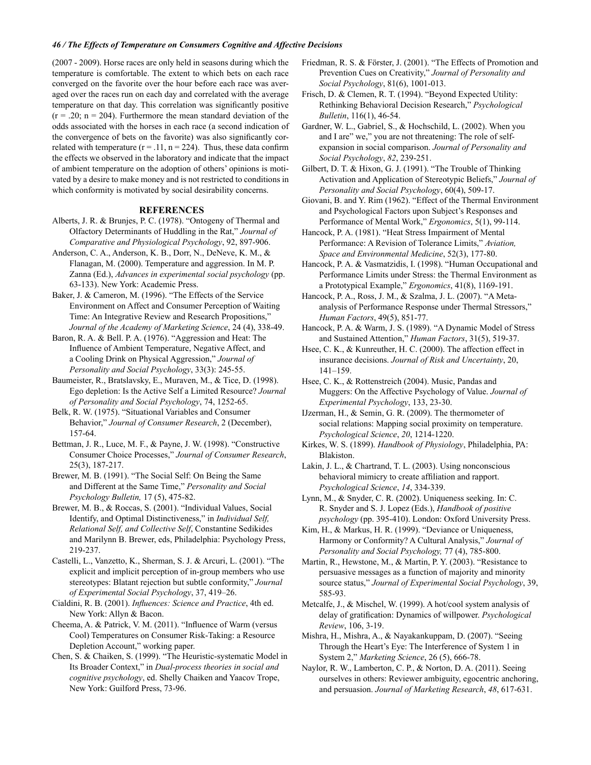#### 46 / The Effects of Temperature on Consumers Cognitive and Affective Decisions

(2007 - 2009). Horse races are only held in seasons during which the temperature is comfortable. The extent to which bets on each race converged on the favorite over the hour before each race was averaged over the races run on each day and correlated with the average temperature on that day. This correlation was significantly positive  $(r = .20; n = 204)$ . Furthermore the mean standard deviation of the odds associated with the horses in each race (a second indication of the convergence of bets on the favorite) was also significantly correlated with temperature  $(r = .11, n = 224)$ . Thus, these data confirm the effects we observed in the laboratory and indicate that the impact of ambient temperature on the adoption of others' opinions is motivated by a desire to make money and is not restricted to conditions in which conformity is motivated by social desirability concerns.

### **REFERENCES**

- Alberts, J. R. & Brunjes, P. C. (1978). "Ontogeny of Thermal and Olfactory Determinants of Huddling in the Rat," Journal of Comparative and Physiological Psychology, 92, 897-906.
- Anderson, C. A., Anderson, K. B., Dorr, N., DeNeve, K. M., & Flanagan, M. (2000). Temperature and aggression. In M. P. Zanna (Ed.), Advances in experimental social psychology (pp. 63-133). New York: Academic Press.
- Baker, J. & Cameron, M. (1996). "The Effects of the Service Environment on Affect and Consumer Perception of Waiting Time: An Integrative Review and Research Propositions," Journal of the Academy of Marketing Science, 24 (4), 338-49.

Baron, R. A. & Bell. P. A. (1976). "Aggression and Heat: The Influence of Ambient Temperature, Negative Affect, and a Cooling Drink on Physical Aggression," Journal of Personality and Social Psychology, 33(3): 245-55.

Baumeister, R., Bratslavsky, E., Muraven, M., & Tice, D. (1998). Ego depletion: Is the Active Self a Limited Resource? Journal of Personality and Social Psychology, 74, 1252-65.

Belk, R. W. (1975). "Situational Variables and Consumer Behavior," Journal of Consumer Research, 2 (December), 157-64.

Bettman, J. R., Luce, M. F., & Payne, J. W. (1998). "Constructive Consumer Choice Processes," Journal of Consumer Research,  $25(3)$ , 187-217.

Brewer, M. B. (1991). "The Social Self: On Being the Same and Different at the Same Time," Personality and Social Psychology Bulletin, 17 (5), 475-82.

Brewer, M. B., & Roccas, S. (2001). "Individual Values, Social Identify, and Optimal Distinctiveness," in Individual Self, Relational Self, and Collective Self, Constantine Sedikides and Marilynn B. Brewer, eds, Philadelphia: Psychology Press, 219-237.

Castelli, L., Vanzetto, K., Sherman, S. J. & Arcuri, L. (2001). "The explicit and implicit perception of in-group members who use stereotypes: Blatant rejection but subtle conformity," Journal of Experimental Social Psychology, 37, 419-26.

Cialdini, R. B. (2001). Influences: Science and Practice, 4th ed. New York: Allyn & Bacon.

Cheema, A. & Patrick, V. M. (2011). "Influence of Warm (versus Cool) Temperatures on Consumer Risk-Taking: a Resource Depletion Account," working paper.

Chen, S. & Chaiken, S. (1999). "The Heuristic-systematic Model in Its Broader Context," in Dual-process theories in social and cognitive psychology, ed. Shelly Chaiken and Yaacov Trope, New York: Guilford Press, 73-96.

Friedman, R. S. & Förster, J. (2001). "The Effects of Promotion and Prevention Cues on Creativity," Journal of Personality and Social Psychology, 81(6), 1001-013.

Frisch, D. & Clemen, R. T. (1994). "Beyond Expected Utility: Rethinking Behavioral Decision Research," Psychological Bulletin, 116(1), 46-54.

Gardner, W. L., Gabriel, S., & Hochschild, L. (2002). When you and I are" we," you are not threatening: The role of selfexpansion in social comparison. Journal of Personality and Social Psychology, 82, 239-251.

Gilbert, D. T. & Hixon, G. J. (1991). "The Trouble of Thinking Activation and Application of Stereotypic Beliefs," Journal of Personality and Social Psychology, 60(4), 509-17.

Giovani, B. and Y. Rim (1962). "Effect of the Thermal Environment and Psychological Factors upon Subject's Responses and Performance of Mental Work," Ergonomics, 5(1), 99-114.

Hancock, P. A. (1981). "Heat Stress Impairment of Mental Performance: A Revision of Tolerance Limits," Aviation, Space and Environmental Medicine, 52(3), 177-80.

Hancock, P. A. & Vasmatzidis, I. (1998). "Human Occupational and Performance Limits under Stress: the Thermal Environment as a Prototypical Example," Ergonomics, 41(8), 1169-191.

Hancock, P. A., Ross, J. M., & Szalma, J. L. (2007). "A Metaanalysis of Performance Response under Thermal Stressors," Human Factors, 49(5), 851-77.

Hancock, P. A. & Warm, J. S. (1989). "A Dynamic Model of Stress and Sustained Attention," Human Factors, 31(5), 519-37.

Hsee, C. K., & Kunreuther, H. C. (2000). The affection effect in insurance decisions. Journal of Risk and Uncertainty, 20,  $141 - 159$ .

Hsee, C. K., & Rottenstreich (2004). Music, Pandas and Muggers: On the Affective Psychology of Value. Journal of Experimental Psychology, 133, 23-30.

IJzerman, H., & Semin, G. R. (2009). The thermometer of social relations: Mapping social proximity on temperature. Psychological Science, 20, 1214-1220.

Kirkes, W. S. (1899). Handbook of Physiology, Philadelphia, PA: Blakiston.

Lakin, J. L., & Chartrand, T. L. (2003). Using nonconscious behavioral mimicry to create affiliation and rapport. Psychological Science, 14, 334-339.

Lynn, M., & Snyder, C. R. (2002). Uniqueness seeking. In: C. R. Snyder and S. J. Lopez (Eds.), Handbook of positive *psychology* (pp. 395-410). London: Oxford University Press.

Kim, H., & Markus, H. R. (1999). "Deviance or Uniqueness, Harmony or Conformity? A Cultural Analysis," Journal of Personality and Social Psychology, 77 (4), 785-800.

Martin, R., Hewstone, M., & Martin, P. Y. (2003). "Resistance to persuasive messages as a function of majority and minority source status," Journal of Experimental Social Psychology, 39, 585-93.

Metcalfe, J., & Mischel, W. (1999). A hot/cool system analysis of delay of gratification: Dynamics of willpower. Psychological Review, 106, 3-19.

Mishra, H., Mishra, A., & Nayakankuppam, D. (2007). "Seeing Through the Heart's Eye: The Interference of System 1 in System 2," Marketing Science, 26 (5), 666-78.

Naylor, R. W., Lamberton, C. P., & Norton, D. A. (2011). Seeing ourselves in others: Reviewer ambiguity, egocentric anchoring, and persuasion. Journal of Marketing Research, 48, 617-631.